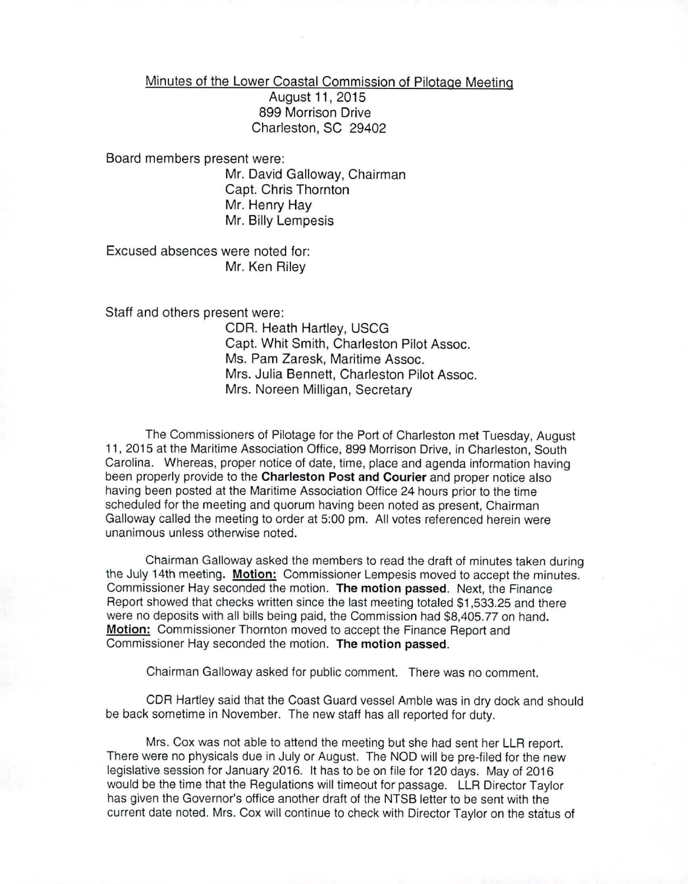Minutes of the Lower Coastal Commission of Pilotage Meeting

August 11, 2015 899 Morrison Drive Charleston, SC 29402

Board members present were:

Mr. David Galloway, Chairman Capt. Chris Thornton Mr. Henry Hay Mr. Billy Lempesis

Excused absences were noted for: Mr. Ken Riley

Staff and others present were:

CDR. Heath Hartley, USCG Capt. Whit Smith, Charleston Pilot Assoc. Ms. Pam Zaresk, Maritime Assoc. Mrs. Julia Bennett, Charleston Pilot Assoc. Mrs. Noreen Milligan, Secretary

The Commissioners of Pilotage for the Port of Charleston met Tuesday, August 11, 2015 at the Maritime Association Office, 899 Morrison Drive, in Charleston, South Carolina. Whereas, proper notice of date, time, place and agenda information having been properly provide to the Charleston Post and Courier and proper notice also having been posted at the Maritime Association Office 24 hours prior to the time scheduled for the meeting and quorum having been noted as present, Chairman Galloway called the meeting to order at 5:00 pm. All votes referenced herein were unanimous unless otherwise noted.

Chairman Galloway asked the members to read the draft of minutes taken during the July 14th meeting. Motion: Commissioner Lempesis moved to accept the minutes. Commissioner Hay seconded the motion. The motion passed. Next, the Finance Report showed that checks written since the last meeting totaled \$1,533.25 and there were no deposits with all bills being paid, the Commission had \$8,405.77 on hand. Motion: Commissioner Thornton moved to accept the Finance Report and Commissioner Hay seconded the motion. The motion passed.

Chairman Galloway asked for public comment. There was no comment.

CDR Hartley said that the Coast Guard vessel Amble was in dry dock and should be back sometime in November. The new staff has all reported for duty.

Mrs. Cox was not able to attend the meeting but she had sent her LLR report. There were no physicals due in July or August. The NOD will be pre-filed for the new legislative session for January 2016. It has to be on file for 120 days. May of 2016 would be the time that the Regulations will timeout for passage. LLR Director Taylor has given the Governor's office another draft of the NTSB letter to be sent with the current date noted. Mrs. Cox will continue to check with Director Taylor on the status of